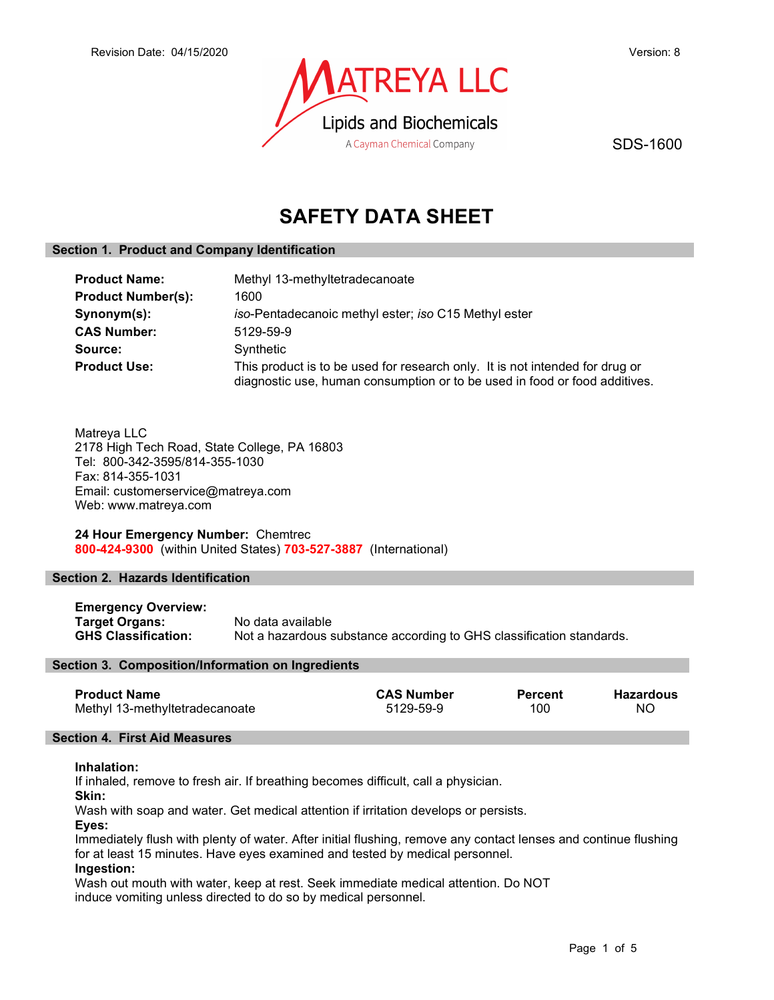

SDS-1600

# SAFETY DATA SHEET

# Section 1. Product and Company Identification

| <b>Product Name:</b>      | Methyl 13-methyltetradecanoate                                                                                                                             |  |  |
|---------------------------|------------------------------------------------------------------------------------------------------------------------------------------------------------|--|--|
| <b>Product Number(s):</b> | 1600                                                                                                                                                       |  |  |
| Synonym(s):               | iso-Pentadecanoic methyl ester; iso C15 Methyl ester                                                                                                       |  |  |
| <b>CAS Number:</b>        | 5129-59-9                                                                                                                                                  |  |  |
| Source:                   | Synthetic                                                                                                                                                  |  |  |
| <b>Product Use:</b>       | This product is to be used for research only. It is not intended for drug or<br>diagnostic use, human consumption or to be used in food or food additives. |  |  |

Matreya LLC 2178 High Tech Road, State College, PA 16803 Tel: 800-342-3595/814-355-1030 Fax: 814-355-1031 Email: customerservice@matreya.com Web: www.matreya.com

24 Hour Emergency Number: Chemtrec 800-424-9300 (within United States) 703-527-3887 (International)

# Section 2. Hazards Identification

| <b>Emergency Overview:</b> |                                                                      |
|----------------------------|----------------------------------------------------------------------|
| <b>Target Organs:</b>      | No data available                                                    |
| <b>GHS Classification:</b> | Not a hazardous substance according to GHS classification standards. |

# Section 3. Composition/Information on Ingredients

| <b>Product Name</b>            | <b>CAS Number</b> | <b>Percent</b> | <b>Hazardous</b> |
|--------------------------------|-------------------|----------------|------------------|
| Methyl 13-methyltetradecanoate | 5129-59-9         | 100            | ΝO               |

# Section 4. First Aid Measures

# Inhalation:

If inhaled, remove to fresh air. If breathing becomes difficult, call a physician.

Skin:

Wash with soap and water. Get medical attention if irritation develops or persists.

Eyes:

Immediately flush with plenty of water. After initial flushing, remove any contact lenses and continue flushing for at least 15 minutes. Have eyes examined and tested by medical personnel.

# Ingestion:

Wash out mouth with water, keep at rest. Seek immediate medical attention. Do NOT induce vomiting unless directed to do so by medical personnel.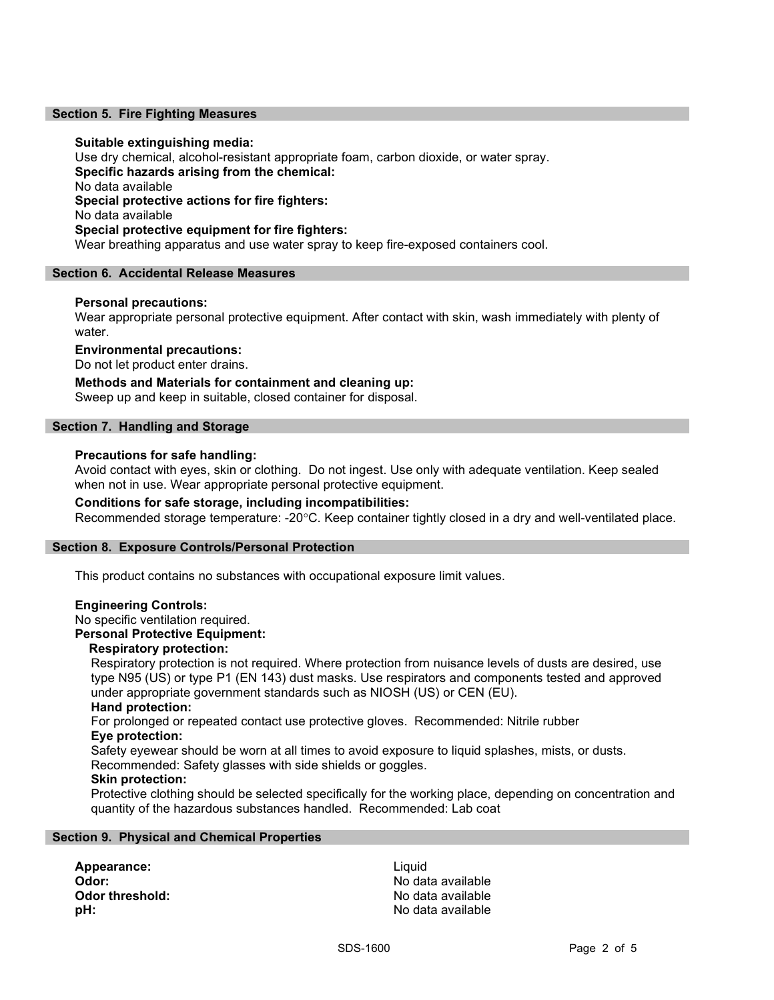#### Section 5. Fire Fighting Measures

#### Suitable extinguishing media:

Use dry chemical, alcohol-resistant appropriate foam, carbon dioxide, or water spray. Specific hazards arising from the chemical: No data available Special protective actions for fire fighters: No data available Special protective equipment for fire fighters: Wear breathing apparatus and use water spray to keep fire-exposed containers cool.

#### Section 6. Accidental Release Measures

### Personal precautions:

Wear appropriate personal protective equipment. After contact with skin, wash immediately with plenty of water.

### Environmental precautions:

Do not let product enter drains.

Methods and Materials for containment and cleaning up: Sweep up and keep in suitable, closed container for disposal.

#### Section 7. Handling and Storage

#### Precautions for safe handling:

Avoid contact with eyes, skin or clothing. Do not ingest. Use only with adequate ventilation. Keep sealed when not in use. Wear appropriate personal protective equipment.

#### Conditions for safe storage, including incompatibilities:

Recommended storage temperature: -20°C. Keep container tightly closed in a dry and well-ventilated place.

#### Section 8. Exposure Controls/Personal Protection

This product contains no substances with occupational exposure limit values.

#### Engineering Controls:

No specific ventilation required.

#### Personal Protective Equipment:

### Respiratory protection:

Respiratory protection is not required. Where protection from nuisance levels of dusts are desired, use type N95 (US) or type P1 (EN 143) dust masks. Use respirators and components tested and approved under appropriate government standards such as NIOSH (US) or CEN (EU).

# Hand protection:

For prolonged or repeated contact use protective gloves. Recommended: Nitrile rubber Eye protection:

Safety eyewear should be worn at all times to avoid exposure to liquid splashes, mists, or dusts. Recommended: Safety glasses with side shields or goggles.

# Skin protection:

Protective clothing should be selected specifically for the working place, depending on concentration and quantity of the hazardous substances handled. Recommended: Lab coat

#### Section 9. Physical and Chemical Properties

Appearance: Liquid **Odor:** No data available Odor threshold: Contract the Society of the No data available **pH:**  $\blacksquare$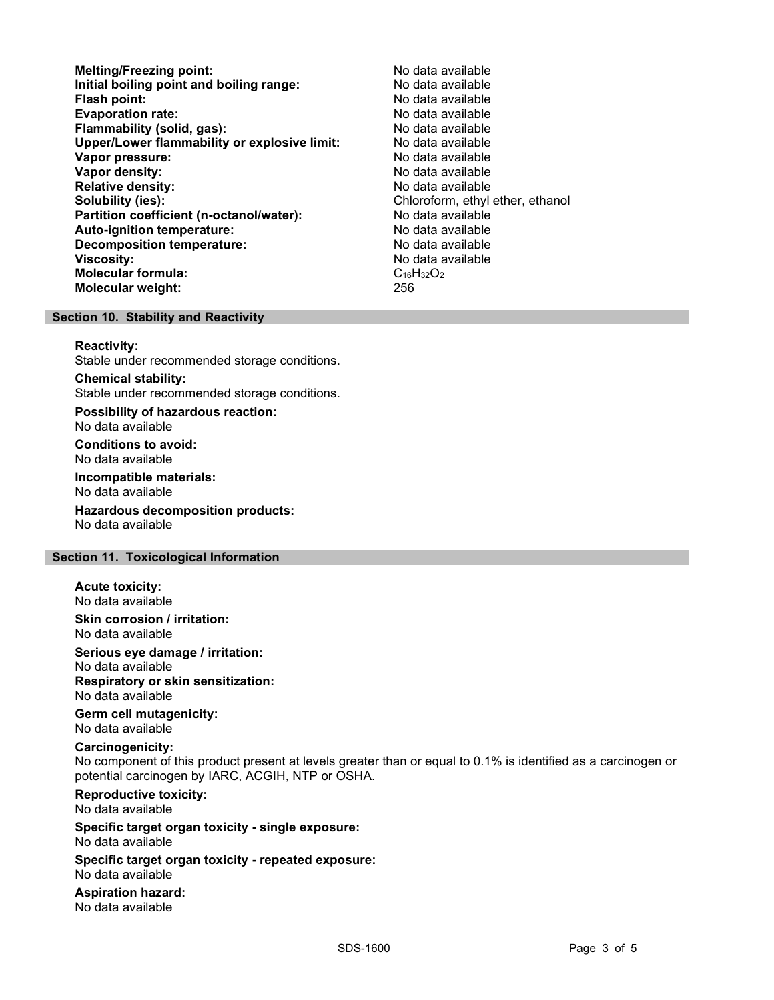- Melting/Freezing point: Melting/Freezing point: Initial boiling point and boiling range: No data available Flash point: No data available **Evaporation rate:** No data available Flammability (solid, gas): No data available Upper/Lower flammability or explosive limit: No data available Vapor pressure: No data available Vapor density: No data available Relative density: No data available Solubility (ies):<br> **Solubility (ies):** Chloroform, ethyl ether, ethanol<br> **Partition coefficient (n-octanol/water):** No data available Partition coefficient (n-octanol/water): Auto-ignition temperature: No data available Decomposition temperature: No data available Viscosity: No data available Molecular formula: C<sub>16</sub>H<sub>32</sub>O<sub>2</sub> Molecular weight: 256
- 

#### Section 10. Stability and Reactivity

#### Reactivity:

Stable under recommended storage conditions.

Chemical stability: Stable under recommended storage conditions.

Possibility of hazardous reaction: No data available

Conditions to avoid: No data available

Incompatible materials: No data available

Hazardous decomposition products: No data available

### Section 11. Toxicological Information

# Acute toxicity:

No data available

Skin corrosion / irritation: No data available

Serious eye damage / irritation:

No data available Respiratory or skin sensitization:

No data available

Germ cell mutagenicity: No data available

#### Carcinogenicity:

No component of this product present at levels greater than or equal to 0.1% is identified as a carcinogen or potential carcinogen by IARC, ACGIH, NTP or OSHA.

Reproductive toxicity: No data available

Specific target organ toxicity - single exposure: No data available

Specific target organ toxicity - repeated exposure: No data available

Aspiration hazard: No data available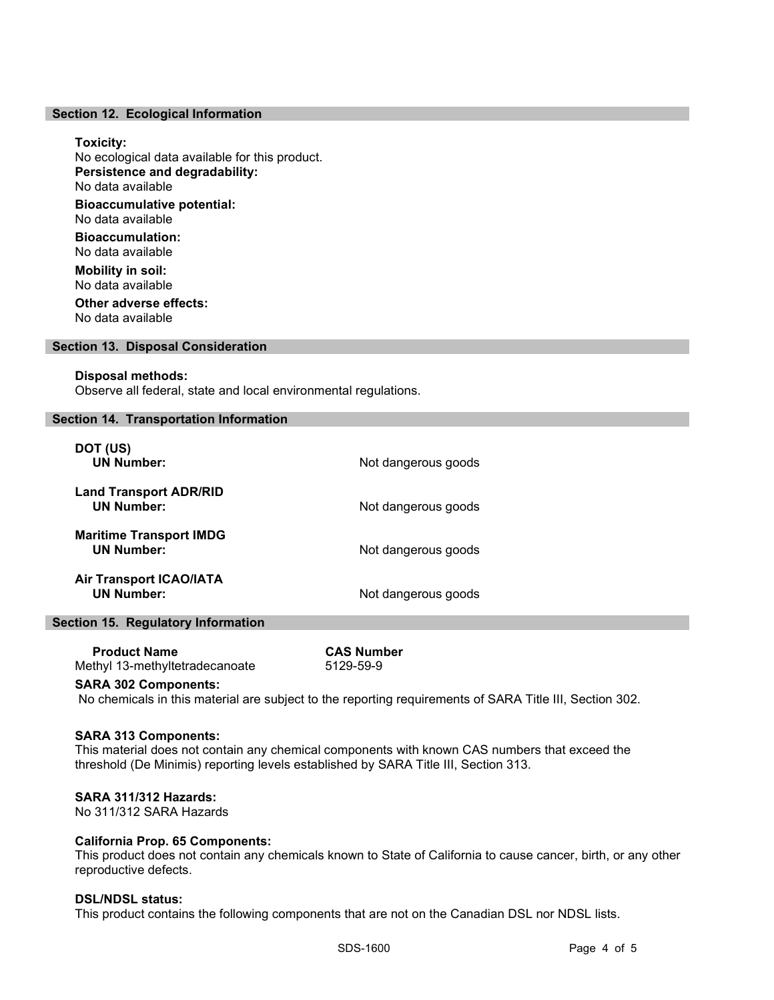#### Section 12. Ecological Information

#### Toxicity:

No ecological data available for this product. Persistence and degradability: No data available Bioaccumulative potential: No data available

Bioaccumulation: No data available

Mobility in soil: No data available Other adverse effects:

No data available

#### Section 13. Disposal Consideration

#### Disposal methods:

Observe all federal, state and local environmental regulations.

#### Section 14. Transportation Information

| DOT (US)<br><b>UN Number:</b>                       | Not dangerous goods |
|-----------------------------------------------------|---------------------|
| <b>Land Transport ADR/RID</b><br><b>UN Number:</b>  | Not dangerous goods |
| <b>Maritime Transport IMDG</b><br><b>UN Number:</b> | Not dangerous goods |
| <b>Air Transport ICAO/IATA</b><br><b>UN Number:</b> | Not dangerous goods |

# Section 15. Regulatory Information

| <b>Product Name</b>            | <b>CAS Number</b> |
|--------------------------------|-------------------|
| Methyl 13-methyltetradecanoate | 5129-59-9         |

#### SARA 302 Components:

No chemicals in this material are subject to the reporting requirements of SARA Title III, Section 302.

#### SARA 313 Components:

This material does not contain any chemical components with known CAS numbers that exceed the threshold (De Minimis) reporting levels established by SARA Title III, Section 313.

#### SARA 311/312 Hazards:

No 311/312 SARA Hazards

#### California Prop. 65 Components:

This product does not contain any chemicals known to State of California to cause cancer, birth, or any other reproductive defects.

#### DSL/NDSL status:

This product contains the following components that are not on the Canadian DSL nor NDSL lists.